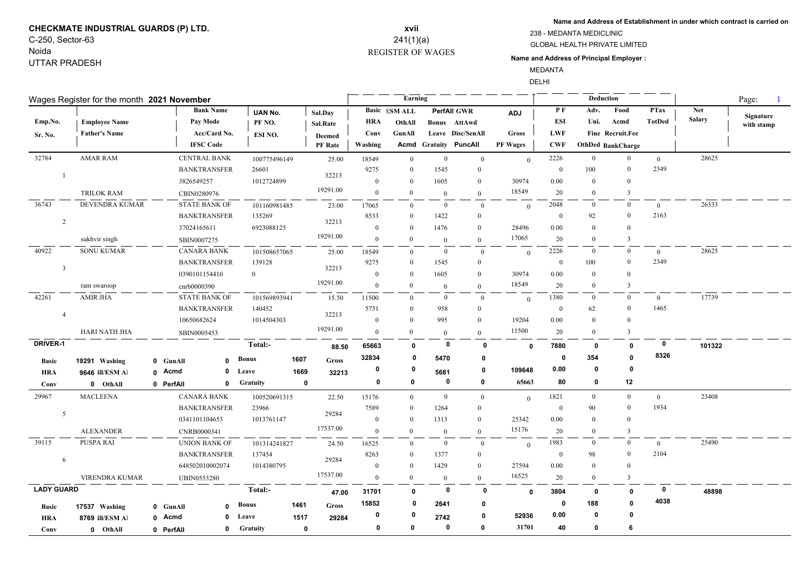# **CHECKMATE INDUSTRIAL GUARDS (P) LTD.** C-250, Sector-63

Noida UTTAR PRADESH

#### REGISTER OF WAGES **xvii** 241(1)(a)

**Name and Address of Establishment in under which contract is carried on**

GLOBAL HEALTH PRIVATE LIMITED 238 - MEDANTA MEDICLINIC

#### **Name and Address of Principal Employer :**

MEDANTA

DELHI

| Wages Register for the month 2021 November |                      |                                    |                      |                      |                 |             |                  |                  | Earning              |                |                         |                |              |                   | Deduction        | Page:          |               |            |
|--------------------------------------------|----------------------|------------------------------------|----------------------|----------------------|-----------------|-------------|------------------|------------------|----------------------|----------------|-------------------------|----------------|--------------|-------------------|------------------|----------------|---------------|------------|
|                                            |                      |                                    |                      | <b>Bank Name</b>     | UAN No.         |             | Sal.Day          |                  | <b>Basic</b> ESM ALL |                | <b>PerfAll GWR</b>      | <b>ADJ</b>     | P F          | Adv.              | Food             | <b>PTax</b>    | <b>Net</b>    | Signature  |
| Emp.No.                                    | <b>Employee Name</b> |                                    | Pay Mode             |                      | PF NO.          |             | <b>Sal.Rate</b>  | <b>HRA</b>       | OthAll               |                | Bonus AttAwd            |                | <b>ESI</b>   | Uni.              | Acmd             | <b>TotDed</b>  | <b>Salary</b> | with stamp |
| <b>Sr. No.</b>                             | <b>Father's Name</b> |                                    |                      | Acc/Card No.         | ESI NO.         |             | <b>Deemed</b>    | Conv             | GunAll               |                | Leave Disc/SenAll       | <b>Gross</b>   | <b>LWF</b>   |                   | Fine Recruit.Fee |                |               |            |
|                                            |                      |                                    | <b>IFSC Code</b>     |                      |                 |             | PF Rate          | Washing          | Acmd                 |                | <b>Gratuity PuncAll</b> | PF Wages       | <b>CWF</b>   | OthDed BankCharge |                  |                |               |            |
| 32784                                      | <b>AMAR RAM</b>      |                                    | <b>CENTRAL BANK</b>  |                      | 100775496149    |             | 25.00            | 18549            | $\overline{0}$       | $\mathbf{0}$   | $\mathbf{0}$            | $\theta$       | 2226         | $\overline{0}$    | $\overline{0}$   | $\bf{0}$       | 28625         |            |
|                                            |                      |                                    | <b>BANKTRANSFER</b>  |                      | 26601           |             | 32213            | 9275             | $\theta$             | 1545           | $\mathbf{0}$            |                | $\mathbf{0}$ | 100               | $\bf{0}$         | 2349           |               |            |
|                                            |                      |                                    | 3826549257           |                      | 1012724899      |             |                  | $\boldsymbol{0}$ | $\overline{0}$       | 1605           | $\bf{0}$                | 30974          | 0.00         | $\Omega$          | $\theta$         |                |               |            |
|                                            | <b>TRILOK RAM</b>    |                                    | CBIN0280976          |                      |                 |             | 19291.00         | $\mathbf{0}$     | $\theta$             | $\theta$       | $\theta$                | 18549          | 20           | $\Omega$          | 3                |                |               |            |
| 36743                                      | DEVENDRA KUMAR       |                                    | <b>STATE BANK OF</b> |                      | 101160981485    |             | 23.00            | 17065            | $\Omega$             | $\bf{0}$       | $\overline{0}$          | $\theta$       | 2048         | $\bf{0}$          | $\mathbf{0}$     | $\overline{0}$ | 26333         |            |
|                                            |                      | <b>BANKTRANSFER</b><br>37024165611 |                      | 135269<br>6923088125 |                 |             | 8533             | $\bf{0}$         | 1422                 | $\bf{0}$       |                         | $\bf{0}$       | 92           | $\mathbf{0}$      | 2163             |                |               |            |
| $\overline{2}$                             |                      |                                    |                      |                      |                 | 32213       | $\boldsymbol{0}$ | $\theta$         | 1476                 | $\mathbf{0}$   | 28496                   | 0.00           | $\Omega$     | $\Omega$          |                  |                |               |            |
|                                            | sukhvir singh        |                                    | SBIN0007275          |                      |                 |             | 19291.00         | $\mathbf{0}$     | $\theta$             | $\overline{0}$ | $\theta$                | 17065          | 20           | $\Omega$          | $\overline{3}$   |                |               |            |
| 40922                                      | <b>SONU KUMAR</b>    |                                    | <b>CANARA BANK</b>   |                      | 101508657065    |             | 25.00            | 18549            | $\overline{0}$       | $\overline{0}$ | $\mathbf{0}$            | $\Omega$       | 2226         | $\bf{0}$          | $\overline{0}$   | $\overline{0}$ | 28625         |            |
|                                            |                      |                                    | <b>BANKTRANSFER</b>  |                      | 139128          |             |                  | 9275             | $\theta$             | 1545           | $\mathbf{0}$            |                | $\mathbf{0}$ | 100               | $\overline{0}$   | 2349           |               |            |
| $\mathbf{3}$                               |                      |                                    | 0390101154410        |                      | $\Omega$        |             | 32213            | $\boldsymbol{0}$ | $\theta$             | 1605           | $\mathbf{0}$            | 30974          | 0.00         | $\theta$          | $\Omega$         |                |               |            |
|                                            | ram swaroop          |                                    | cnrb0000390          |                      |                 |             | 19291.00         | $\mathbf{0}$     | $\Omega$             | $\mathbf{0}$   | $\mathbf{0}$            | 18549          | 20           | $\Omega$          | 3                |                |               |            |
| 42261                                      | AMIR JHA             |                                    | <b>STATE BANK OF</b> |                      | 101569893941    |             | 15.50            | 11500            | $\Omega$             | $\bf{0}$       | $\mathbf{0}$            | $\overline{0}$ | 1380         | $\overline{0}$    | $\mathbf{0}$     | $\overline{0}$ | 17739         |            |
| $\overline{4}$                             |                      |                                    | <b>BANKTRANSFER</b>  |                      | 140452          |             | 32213            | 5751             | $\overline{0}$       | 958            | $\theta$                |                | $\bf{0}$     | 62                | $\overline{0}$   | 1465           |               |            |
|                                            |                      |                                    | 10650682624          |                      | 1014504303      |             |                  | $\mathbf{0}$     | $\theta$             | 995            | $\theta$                | 19204          | 0.00         | $\Omega$          |                  |                |               |            |
|                                            | HARI NATH JHA        |                                    | SBIN0005453          |                      |                 |             | 19291.00         | $\overline{0}$   | $\Omega$             | $\overline{0}$ | $\theta$                | 11500          | 20           | $\Omega$          | 3                |                |               |            |
| DRIVER-1                                   |                      |                                    |                      |                      | Total:-         |             | 88.50            | 65663            | 0                    | 0              | 0                       | $\mathbf{0}$   | 7880         | 0                 | $\mathbf 0$      | $\mathbf 0$    | 101322        |            |
| <b>Basic</b>                               | 19291 Washing        |                                    | 0 GunAll             | $\Omega$             | Bonus           | 1607        | Gross            | 32834            | 0                    | 5470           | 0                       |                | $\mathbf 0$  | 354               | $\mathbf{0}$     | 8326           |               |            |
| <b>HRA</b>                                 | 9646 ill/ESM Al      |                                    | 0 Acmd               | 0                    | Leave           | 1669        | 32213            | 0                | 0                    | 5681           | 0                       | 109648         | 0.00         | 0                 | $\mathbf{0}$     |                |               |            |
| Conv                                       | 0 OthAll             |                                    | 0 PerfAll            | $\mathbf{0}$         | <b>Gratuity</b> | $\mathbf 0$ |                  | 0                | 0                    | $\mathbf 0$    | 0                       | 65663          | 80           | 0                 | 12               |                |               |            |
| 29967                                      | <b>MACLEENA</b>      |                                    | <b>CANARA BANK</b>   |                      | 100520691315    |             | 22.50            | 15176            | $\overline{0}$       | $\bf{0}$       | $\overline{0}$          | $\theta$       | 1821         | $\overline{0}$    | $\mathbf{0}$     | $\overline{0}$ | 23408         |            |
|                                            |                      |                                    | <b>BANKTRANSFER</b>  |                      | 23966           |             |                  | 7589             | $\Omega$             | 1264           | $\Omega$                |                | $\bf{0}$     | 90                | $\overline{0}$   | 1934           |               |            |
| 5                                          |                      |                                    | 0341101104653        |                      | 1013761147      |             | 29284            | $\bf{0}$         | $\Omega$             | 1313           | $\theta$                | 25342          | 0.00         | $\Omega$          | $\theta$         |                |               |            |
|                                            | <b>ALEXANDER</b>     |                                    | CNRB0000341          |                      |                 |             | 17537.00         | $\overline{0}$   | $\Omega$             | $\overline{0}$ | $\overline{0}$          | 15176          | 20           | $\Omega$          | 3                |                |               |            |
| 39115                                      | PUSPA RAI            |                                    | <b>UNION BANK OF</b> |                      | 101314241827    |             | 24.50            | 16525            | $\Omega$             | $\mathbf{0}$   | $\mathbf{0}$            | $\mathbf{0}$   | 1983         | $\theta$          | $\theta$         | $\overline{0}$ | 25490         |            |
|                                            |                      |                                    | <b>BANKTRANSFER</b>  |                      | 137454          |             |                  | 8263             | $\Omega$             | 1377           | $\mathbf{0}$            |                | $\mathbf{0}$ | 98                | $\theta$         | 2104           |               |            |
| 6                                          |                      |                                    | 648502010002074      |                      | 1014380795      |             | 29284            | $\boldsymbol{0}$ | $\Omega$             | 1429           | $\theta$                | 27594          | 0.00         | $\theta$          | $\theta$         |                |               |            |
|                                            | VIRENDRA KUMAR       |                                    | <b>UBIN0553280</b>   |                      |                 |             | 17537.00         | $\overline{0}$   | $\Omega$             | $\overline{0}$ | $\mathbf{0}$            | 16525          | 20           | $\Omega$          | 3                |                |               |            |
| <b>LADY GUARD</b>                          |                      |                                    |                      |                      | Total:-         |             | 47.00            | 31701            | $\mathbf{0}$         | 0              | 0                       | $\mathbf{0}$   | 3804         | 0                 | $\mathbf{0}$     | 0              | 48898         |            |
| <b>Basic</b>                               | 17537 Washing        |                                    | 0 GunAll             | O                    | Bonus           | 1461        | Gross            | 15852            | 0                    | 2641           | 0                       |                | 0            | 188               | $\Omega$         | 4038           |               |            |
| <b>HRA</b>                                 | 8769 ill/ESM Al      |                                    | 0 Acmd               | 0                    | Leave           | 1517        | 29284            | 0                | 0                    | 2742           | 0                       | 52936          | 0.00         | 0                 | $\mathbf{0}$     |                |               |            |
| Conv                                       | 0 OthAll             |                                    | 0 PerfAll            | 0                    | Gratuity        | $\mathbf 0$ |                  | 0                | 0                    | $\mathbf 0$    | $\mathbf{0}$            | 31701          | 40           | 0                 | 6                |                |               |            |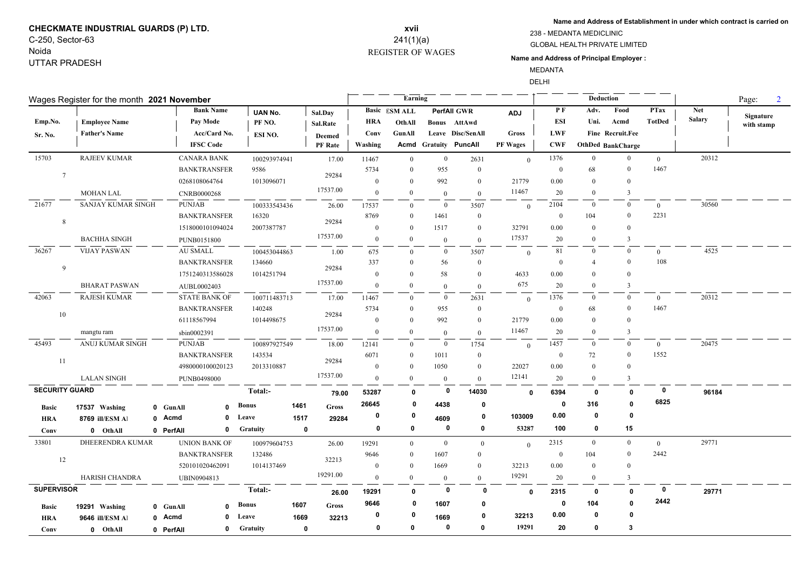# **CHECKMATE INDUSTRIAL GUARDS (P) LTD.** C-250, Sector-63

Noida UTTAR PRADESH

## REGISTER OF WAGES **xvii** 241(1)(a)

**Name and Address of Establishment in under which contract is carried on**

GLOBAL HEALTH PRIVATE LIMITED 238 - MEDANTA MEDICLINIC

#### **Name and Address of Principal Employer :**

MEDANTA

DELHI

**Contract Contract** 

|                       | Wages Register for the month 2021 November |                      |                              | Earning        |                         |                      | Deduction      |                              |                 |              |                |                   | Page:<br>$\overline{2}$ |               |            |
|-----------------------|--------------------------------------------|----------------------|------------------------------|----------------|-------------------------|----------------------|----------------|------------------------------|-----------------|--------------|----------------|-------------------|-------------------------|---------------|------------|
|                       |                                            | <b>Bank Name</b>     | <b>UAN No.</b>               | Sal.Day        |                         | <b>Basic ESM ALL</b> |                | <b>PerfAll GWR</b>           | <b>ADJ</b>      | PF           | Adv.           | Food              | <b>PTax</b>             | <b>Net</b>    | Signature  |
| Emp.No.               | <b>Employee Name</b>                       | Pay Mode             | PF <sub>NO</sub> .           | Sal.Rate       | <b>HRA</b>              | OthAll               |                | Bonus AttAwd                 |                 | ESI          | Uni.           | Acmd              | <b>TotDed</b>           | <b>Salary</b> | with stamp |
| Sr. No.               | <b>Father's Name</b>                       | Acc/Card No.         | ESI NO.                      | <b>Deemed</b>  | Conv                    | GunAll               |                | Leave Disc/SenAll            | Gross           | LWF          |                | Fine Recruit.Fee  |                         |               |            |
|                       |                                            | <b>IFSC Code</b>     |                              | <b>PF</b> Rate | Washing                 |                      |                | <b>Acmd Gratuity PuncAll</b> | <b>PF Wages</b> | <b>CWF</b>   |                | OthDed BankCharge |                         |               |            |
| 15703                 | <b>RAJEEV KUMAR</b>                        | <b>CANARA BANK</b>   | 100293974941                 |                | 17.00<br>11467          | $\overline{0}$       | $\overline{0}$ | 2631                         | $\theta$        | 1376         | $\overline{0}$ | $\overline{0}$    | $\overline{0}$          | 20312         |            |
| $7\phantom{.0}$       |                                            | <b>BANKTRANSFER</b>  | 9586                         |                | 5734<br>29284           | $\Omega$             | 955            | $\mathbf{0}$                 |                 | $\mathbf{0}$ | 68             | $\theta$          | 1467                    |               |            |
|                       |                                            | 0268108064764        | 1013096071                   |                | $\theta$                | $\Omega$             | 992            | $\theta$                     | 21779           | 0.00         | $\Omega$       | $\Omega$          |                         |               |            |
|                       | <b>MOHAN LAL</b>                           | <b>CNRB0000268</b>   |                              | 17537.00       | $\mathbf{0}$            | $\theta$             | $\theta$       | $\mathbf{0}$                 | 11467           | 20           | $\Omega$       | 3                 |                         |               |            |
| 21677                 | <b>SANJAY KUMAR SINGH</b>                  | <b>PUNJAB</b>        | 100333543436                 |                | 26.00<br>17537          | $\Omega$             | $\bf{0}$       | 3507                         | $\theta$        | 2104         | $\overline{0}$ | $\overline{0}$    | $\theta$                | 30560         |            |
|                       |                                            | <b>BANKTRANSFER</b>  | 16320                        |                | 8769<br>29284           | $\Omega$             | 1461           | $\mathbf{0}$                 |                 | $\mathbf{0}$ | 104            | $\mathbf{0}$      | 2231                    |               |            |
| 8                     |                                            | 1518000101094024     | 2007387787                   |                | $\overline{0}$          | $\theta$             | 1517           | $\overline{0}$               | 32791           | 0.00         | $\Omega$       | $\theta$          |                         |               |            |
|                       | <b>BACHHA SINGH</b>                        | PUNB0151800          |                              | 17537.00       | $\mathbf{0}$            | $\overline{0}$       | $\overline{0}$ | $\overline{0}$               | 17537           | 20           | $\overline{0}$ | 3                 |                         |               |            |
| 36267                 | <b>VIJAY PASWAN</b>                        | <b>AU SMALL</b>      | 100453044863                 |                | 1.00<br>675             | $\Omega$             | $\overline{0}$ | 3507                         | $\theta$        | 81           | $\Omega$       | $\mathbf{0}$      | $\theta$                | 4525          |            |
|                       |                                            | <b>BANKTRANSFER</b>  | 134660                       |                | 337                     | $\Omega$             | 56             | $\overline{0}$               |                 | $\theta$     | 4              | $\theta$          | 108                     |               |            |
| 9                     |                                            | 1751240313586028     | 1014251794                   |                | 29284<br>$\mathbf{0}$   | $\Omega$             | 58             | $\overline{0}$               | 4633            | 0.00         |                | $\Omega$          |                         |               |            |
|                       | <b>BHARAT PASWAN</b>                       | AUBL0002403          |                              | 17537.00       | $\overline{0}$          | $\overline{0}$       | $\overline{0}$ | $\overline{0}$               | 675             | 20           | $\bf{0}$       | 3                 |                         |               |            |
| 42063                 | <b>RAJESH KUMAR</b>                        | <b>STATE BANK OF</b> | 100711483713                 |                | 17.00<br>11467          | $\bf{0}$             | $\overline{0}$ | 2631                         | $\theta$        | 1376         | $\bf{0}$       | $\bf{0}$          | $\overline{0}$          | 20312         |            |
| 10                    |                                            | <b>BANKTRANSFER</b>  | 140248                       |                | 5734                    | $\theta$             | 955            | $\mathbf{0}$                 |                 | $\mathbf{0}$ | 68             | $\theta$          | 1467                    |               |            |
|                       |                                            | 61118567994          | 1014498675                   |                | 29284<br>$\mathbf{0}$   | $\overline{0}$       | 992            | $\overline{0}$               | 21779           | 0.00         | $\theta$       | $\theta$          |                         |               |            |
|                       | mangtu ram                                 | sbin0002391          |                              | 17537.00       | $\mathbf{0}$            | $\mathbf{0}$         | $\overline{0}$ | $\mathbf{0}$                 | 11467           | 20           | $\mathbf{0}$   | 3                 |                         |               |            |
| 45493                 | <b>ANUJ KUMAR SINGH</b>                    | <b>PUNJAB</b>        | 100897927549                 |                | 18.00<br>12141          | $\overline{0}$       | $\overline{0}$ | 1754                         | $\Omega$        | 1457         | $\overline{0}$ | $\overline{0}$    | $\theta$                | 20475         |            |
|                       |                                            | <b>BANKTRANSFER</b>  | 143534                       |                | 6071                    | $\bf{0}$             | 1011           | $\mathbf{0}$                 |                 | $\mathbf{0}$ | 72             | $\mathbf{0}$      | 1552                    |               |            |
| 11                    |                                            | 4980000100020123     | 2013310887                   |                | 29284<br>$\mathbf{0}$   | $\overline{0}$       | 1050           | $\mathbf{0}$                 | 22027           | 0.00         | $\Omega$       | $\overline{0}$    |                         |               |            |
|                       | <b>LALAN SINGH</b>                         | PUNB0498000          |                              | 17537.00       | $\overline{0}$          | $\overline{0}$       | $\overline{0}$ | $\theta$                     | 12141           | 20           | $\overline{0}$ | $\overline{3}$    |                         |               |            |
| <b>SECURITY GUARD</b> |                                            |                      | Total:-                      |                | 53287<br>79.00          | $\mathbf{0}$         | $\mathbf 0$    | 14030                        | $\mathbf{0}$    | 6394         | $\mathbf 0$    | $\mathbf{0}$      | 0                       | 96184         |            |
| <b>Basic</b>          | 17537 Washing                              | 0 GunAll             | <b>Bonus</b><br>$\mathbf{0}$ | 1461           | 26645<br><b>Gross</b>   | 0                    | 4438           | 0                            |                 | 0            | 316            | $\mathbf{0}$      | 6825                    |               |            |
| <b>HRA</b>            | 8769 ill/ESM Al                            | 0 Acmd               | $\mathbf 0$<br>Leave         | 1517           | 0<br>29284              | 0                    | 4609           | 0                            | 103009          | 0.00         | 0              | 0                 |                         |               |            |
| Conv                  | 0 OthAll                                   | 0 PerfAll            | <b>Gratuity</b><br>0         | $\mathbf 0$    | $\mathbf 0$             | 0                    | 0              | $\mathbf 0$                  | 53287           | 100          | 0              | 15                |                         |               |            |
| 33801                 | <b>DHEERENDRA KUMAR</b>                    | <b>UNION BANK OF</b> | 100979604753                 |                | 26.00<br>19291          | $\overline{0}$       | $\overline{0}$ | $\mathbf{0}$                 | $\Omega$        | 2315         | $\overline{0}$ | $\mathbf{0}$      | $\overline{0}$          | 29771         |            |
| 12                    |                                            | <b>BANKTRANSFER</b>  | 132486                       |                | 9646                    | $\bf{0}$             | 1607           | $\mathbf{0}$                 |                 | $\mathbf{0}$ | 104            | $\overline{0}$    | 2442                    |               |            |
|                       |                                            | 520101020462091      | 1014137469                   |                | 32213<br>$\overline{0}$ | $\theta$             | 1669           | $\mathbf{0}$                 | 32213           | 0.00         | $\overline{0}$ | $\theta$          |                         |               |            |
|                       | HARISH CHANDRA                             | <b>UBIN0904813</b>   |                              | 19291.00       | $\mathbf{0}$            | $\theta$             | $\theta$       | $\theta$                     | 19291           | 20           | $\overline{0}$ | $\overline{3}$    |                         |               |            |
| <b>SUPERVISOR</b>     |                                            |                      | Total:-                      |                | 19291<br>26.00          | $\mathbf{0}$         | 0              | 0                            | $\Omega$        | 2315         | $\mathbf 0$    | $\mathbf 0$       | $\mathbf{0}$            | 29771         |            |
| <b>Basic</b>          | 19291 Washing                              | 0 GunAll             | <b>Bonus</b><br>$\mathbf{0}$ | 1607           | 9646<br>Gross           | 0                    | 1607           | 0                            |                 | 0            | 104            | $\mathbf{0}$      | 2442                    |               |            |
| <b>HRA</b>            | 9646 ill/ESM Al                            | 0 Acmd               | $\mathbf{0}$<br>Leave        | 1669           | 0<br>32213              | 0                    | 1669           | 0                            | 32213           | 0.00         | 0              | 0                 |                         |               |            |
| Conv                  | 0 OthAll                                   |                      | Gratuity<br>$\mathbf{0}$     | $\mathbf 0$    | 0                       | 0                    | 0              | $\mathbf{0}$                 | 19291           | 20           | 0              | 3                 |                         |               |            |
|                       |                                            | 0 PerfAll            |                              |                |                         |                      |                |                              |                 |              |                |                   |                         |               |            |